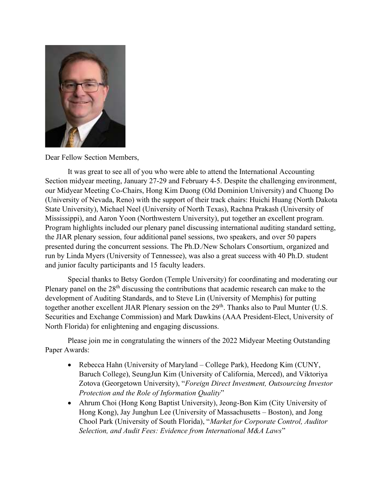

Dear Fellow Section Members,

 It was great to see all of you who were able to attend the International Accounting Section midyear meeting, January 27-29 and February 4-5. Despite the challenging environment, our Midyear Meeting Co-Chairs, Hong Kim Duong (Old Dominion University) and Chuong Do (University of Nevada, Reno) with the support of their track chairs: Huichi Huang (North Dakota State University), Michael Neel (University of North Texas), Rachna Prakash (University of Mississippi), and Aaron Yoon (Northwestern University), put together an excellent program. Program highlights included our plenary panel discussing international auditing standard setting, the JIAR plenary session, four additional panel sessions, two speakers, and over 50 papers presented during the concurrent sessions. The Ph.D./New Scholars Consortium, organized and run by Linda Myers (University of Tennessee), was also a great success with 40 Ph.D. student and junior faculty participants and 15 faculty leaders.

Special thanks to Betsy Gordon (Temple University) for coordinating and moderating our Plenary panel on the  $28<sup>th</sup>$  discussing the contributions that academic research can make to the development of Auditing Standards, and to Steve Lin (University of Memphis) for putting together another excellent JIAR Plenary session on the 29<sup>th</sup>. Thanks also to Paul Munter (U.S. Securities and Exchange Commission) and Mark Dawkins (AAA President-Elect, University of North Florida) for enlightening and engaging discussions.

Please join me in congratulating the winners of the 2022 Midyear Meeting Outstanding Paper Awards:

- Rebecca Hahn (University of Maryland College Park), Heedong Kim (CUNY, Baruch College), SeungJun Kim (University of California, Merced), and Viktoriya Zotova (Georgetown University), "Foreign Direct Investment, Outsourcing Investor Protection and the Role of Information Quality"
- Ahrum Choi (Hong Kong Baptist University), Jeong-Bon Kim (City University of Hong Kong), Jay Junghun Lee (University of Massachusetts – Boston), and Jong Chool Park (University of South Florida), "Market for Corporate Control, Auditor Selection, and Audit Fees: Evidence from International M&A Laws"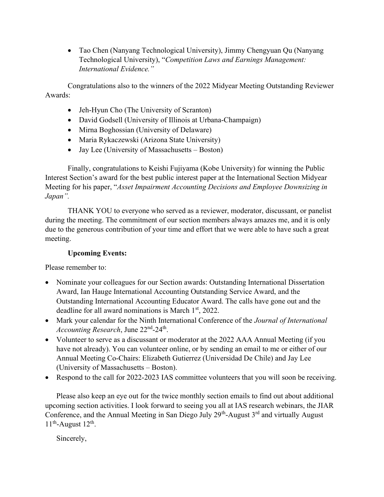Tao Chen (Nanyang Technological University), Jimmy Chengyuan Qu (Nanyang Technological University), "Competition Laws and Earnings Management: International Evidence."

Congratulations also to the winners of the 2022 Midyear Meeting Outstanding Reviewer Awards:

- Jeh-Hyun Cho (The University of Scranton)
- David Godsell (University of Illinois at Urbana-Champaign)
- Mirna Boghossian (University of Delaware)
- Maria Rykaczewski (Arizona State University)
- Jay Lee (University of Massachusetts Boston)

Finally, congratulations to Keishi Fujiyama (Kobe University) for winning the Public Interest Section's award for the best public interest paper at the International Section Midyear Meeting for his paper, "Asset Impairment Accounting Decisions and Employee Downsizing in Japan".

THANK YOU to everyone who served as a reviewer, moderator, discussant, or panelist during the meeting. The commitment of our section members always amazes me, and it is only due to the generous contribution of your time and effort that we were able to have such a great meeting.

## Upcoming Events:

Please remember to:

- Nominate your colleagues for our Section awards: Outstanding International Dissertation Award, Ian Hauge International Accounting Outstanding Service Award, and the Outstanding International Accounting Educator Award. The calls have gone out and the deadline for all award nominations is March  $1<sup>st</sup>$ , 2022.
- Mark your calendar for the Ninth International Conference of the Journal of International Accounting Research, June  $22<sup>nd</sup> - 24<sup>th</sup>$ .
- Volunteer to serve as a discussant or moderator at the 2022 AAA Annual Meeting (if you have not already). You can volunteer online, or by sending an email to me or either of our Annual Meeting Co-Chairs: Elizabeth Gutierrez (Universidad De Chile) and Jay Lee (University of Massachusetts – Boston).
- Respond to the call for 2022-2023 IAS committee volunteers that you will soon be receiving.

Please also keep an eye out for the twice monthly section emails to find out about additional upcoming section activities. I look forward to seeing you all at IAS research webinars, the JIAR Conference, and the Annual Meeting in San Diego July  $29<sup>th</sup>$ -August  $3<sup>rd</sup>$  and virtually August  $11<sup>th</sup>$ -August  $12<sup>th</sup>$ .

Sincerely,